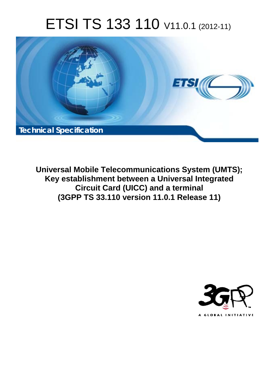# ETSI TS 133 110 V11.0.1 (2012-11)



**Universal Mobile Telecommunications System (UMTS); Key establishment between a Universal Integrated Circuit Card (UICC) and a terminal (3GPP TS 33.110 version 11.0.1 Release 11)** 

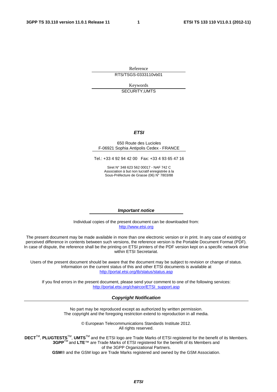Reference RTS/TSGS-0333110vb01

> Keywords SECURITY,UMTS

#### *ETSI*

#### 650 Route des Lucioles F-06921 Sophia Antipolis Cedex - FRANCE

Tel.: +33 4 92 94 42 00 Fax: +33 4 93 65 47 16

Siret N° 348 623 562 00017 - NAF 742 C Association à but non lucratif enregistrée à la Sous-Préfecture de Grasse (06) N° 7803/88

#### *Important notice*

Individual copies of the present document can be downloaded from: [http://www.etsi.org](http://www.etsi.org/)

The present document may be made available in more than one electronic version or in print. In any case of existing or perceived difference in contents between such versions, the reference version is the Portable Document Format (PDF). In case of dispute, the reference shall be the printing on ETSI printers of the PDF version kept on a specific network drive within ETSI Secretariat.

Users of the present document should be aware that the document may be subject to revision or change of status. Information on the current status of this and other ETSI documents is available at <http://portal.etsi.org/tb/status/status.asp>

If you find errors in the present document, please send your comment to one of the following services: [http://portal.etsi.org/chaircor/ETSI\\_support.asp](http://portal.etsi.org/chaircor/ETSI_support.asp)

#### *Copyright Notification*

No part may be reproduced except as authorized by written permission. The copyright and the foregoing restriction extend to reproduction in all media.

> © European Telecommunications Standards Institute 2012. All rights reserved.

**DECT**TM, **PLUGTESTS**TM, **UMTS**TM and the ETSI logo are Trade Marks of ETSI registered for the benefit of its Members. **3GPP**TM and **LTE**™ are Trade Marks of ETSI registered for the benefit of its Members and of the 3GPP Organizational Partners.

**GSM**® and the GSM logo are Trade Marks registered and owned by the GSM Association.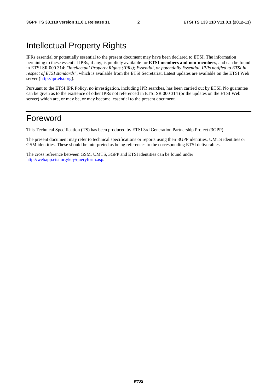# Intellectual Property Rights

IPRs essential or potentially essential to the present document may have been declared to ETSI. The information pertaining to these essential IPRs, if any, is publicly available for **ETSI members and non-members**, and can be found in ETSI SR 000 314: *"Intellectual Property Rights (IPRs); Essential, or potentially Essential, IPRs notified to ETSI in respect of ETSI standards"*, which is available from the ETSI Secretariat. Latest updates are available on the ETSI Web server [\(http://ipr.etsi.org](http://webapp.etsi.org/IPR/home.asp)).

Pursuant to the ETSI IPR Policy, no investigation, including IPR searches, has been carried out by ETSI. No guarantee can be given as to the existence of other IPRs not referenced in ETSI SR 000 314 (or the updates on the ETSI Web server) which are, or may be, or may become, essential to the present document.

# Foreword

This Technical Specification (TS) has been produced by ETSI 3rd Generation Partnership Project (3GPP).

The present document may refer to technical specifications or reports using their 3GPP identities, UMTS identities or GSM identities. These should be interpreted as being references to the corresponding ETSI deliverables.

The cross reference between GSM, UMTS, 3GPP and ETSI identities can be found under [http://webapp.etsi.org/key/queryform.asp.](http://webapp.etsi.org/key/queryform.asp)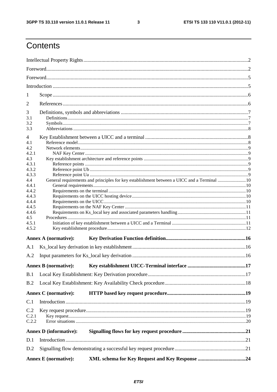$\mathbf{3}$ 

# Contents

| 1            |                               |                                                                                            |  |  |  |
|--------------|-------------------------------|--------------------------------------------------------------------------------------------|--|--|--|
| 2            |                               |                                                                                            |  |  |  |
|              |                               |                                                                                            |  |  |  |
| 3<br>3.1     |                               |                                                                                            |  |  |  |
| 3.2          |                               |                                                                                            |  |  |  |
| 3.3          |                               |                                                                                            |  |  |  |
| 4            |                               |                                                                                            |  |  |  |
| 4.1          |                               |                                                                                            |  |  |  |
| 4.2<br>4.2.1 |                               |                                                                                            |  |  |  |
| 4.3          |                               |                                                                                            |  |  |  |
| 4.3.1        |                               |                                                                                            |  |  |  |
| 4.3.2        |                               |                                                                                            |  |  |  |
| 4.3.3        |                               |                                                                                            |  |  |  |
| 4.4<br>4.4.1 |                               | General requirements and principles for key establishment between a UICC and a Terminal 10 |  |  |  |
| 4.4.2        |                               |                                                                                            |  |  |  |
| 4.4.3        |                               |                                                                                            |  |  |  |
| 4.4.4        |                               |                                                                                            |  |  |  |
| 4.4.5        |                               |                                                                                            |  |  |  |
| 4.4.6<br>4.5 |                               |                                                                                            |  |  |  |
| 4.5.1        |                               |                                                                                            |  |  |  |
| 4.5.2        |                               |                                                                                            |  |  |  |
|              | <b>Annex A (normative):</b>   |                                                                                            |  |  |  |
| A.1          |                               |                                                                                            |  |  |  |
| A.2          |                               |                                                                                            |  |  |  |
|              |                               |                                                                                            |  |  |  |
|              |                               |                                                                                            |  |  |  |
| B.1          |                               |                                                                                            |  |  |  |
| B.2          |                               |                                                                                            |  |  |  |
|              | <b>Annex C</b> (normative):   |                                                                                            |  |  |  |
| C.1          |                               |                                                                                            |  |  |  |
| C.2          |                               |                                                                                            |  |  |  |
| C.2.1        |                               |                                                                                            |  |  |  |
| C.2.2        |                               |                                                                                            |  |  |  |
|              | <b>Annex D</b> (informative): |                                                                                            |  |  |  |
| D.1          |                               |                                                                                            |  |  |  |
| D.2          |                               |                                                                                            |  |  |  |
|              | <b>Annex E</b> (normative):   |                                                                                            |  |  |  |
|              |                               |                                                                                            |  |  |  |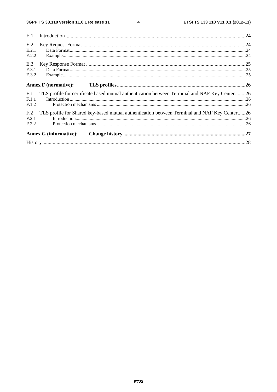$\overline{\mathbf{4}}$ 

| E.1             |                                                                                               |  |
|-----------------|-----------------------------------------------------------------------------------------------|--|
| E.2<br>E.2.1    |                                                                                               |  |
| E.2.2           |                                                                                               |  |
| E.3             |                                                                                               |  |
| E.3.1<br>E.3.2  |                                                                                               |  |
|                 |                                                                                               |  |
| F.1<br>F.1.1    | TLS profile for certificate based mutual authentication between Terminal and NAF Key Center26 |  |
| F.1.2           |                                                                                               |  |
| F <sub>12</sub> | TLS profile for Shared key-based mutual authentication between Terminal and NAF Key Center26  |  |
| F.2.1<br>F.2.2  |                                                                                               |  |
|                 |                                                                                               |  |
|                 | <b>Annex G (informative):</b>                                                                 |  |
|                 |                                                                                               |  |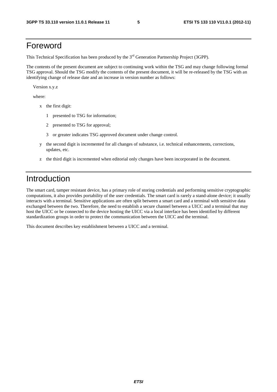# Foreword

This Technical Specification has been produced by the 3<sup>rd</sup> Generation Partnership Project (3GPP).

The contents of the present document are subject to continuing work within the TSG and may change following formal TSG approval. Should the TSG modify the contents of the present document, it will be re-released by the TSG with an identifying change of release date and an increase in version number as follows:

Version x.y.z

where:

- x the first digit:
	- 1 presented to TSG for information;
	- 2 presented to TSG for approval;
	- 3 or greater indicates TSG approved document under change control.
- y the second digit is incremented for all changes of substance, i.e. technical enhancements, corrections, updates, etc.
- z the third digit is incremented when editorial only changes have been incorporated in the document.

# Introduction

The smart card, tamper resistant device, has a primary role of storing credentials and performing sensitive cryptographic computations, it also provides portability of the user credentials. The smart card is rarely a stand-alone device; it usually interacts with a terminal. Sensitive applications are often split between a smart card and a terminal with sensitive data exchanged between the two. Therefore, the need to establish a secure channel between a UICC and a terminal that may host the UICC or be connected to the device hosting the UICC via a local interface has been identified by different standardization groups in order to protect the communication between the UICC and the terminal.

This document describes key establishment between a UICC and a terminal.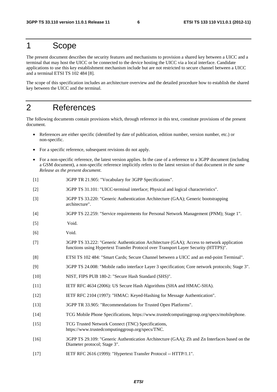# 1 Scope

The present document describes the security features and mechanisms to provision a shared key between a UICC and a terminal that may host the UICC or be connected to the device hosting the UICC via a local interface. Candidate applications to use this key establishment mechanism include but are not restricted to secure channel between a UICC and a terminal ETSI TS 102 484 [8].

The scope of this specification includes an architecture overview and the detailed procedure how to establish the shared key between the UICC and the terminal.

# 2 References

The following documents contain provisions which, through reference in this text, constitute provisions of the present document.

- References are either specific (identified by date of publication, edition number, version number, etc.) or non-specific.
- For a specific reference, subsequent revisions do not apply.
- For a non-specific reference, the latest version applies. In the case of a reference to a 3GPP document (including a GSM document), a non-specific reference implicitly refers to the latest version of that document *in the same Release as the present document*.
- [1] 3GPP TR 21.905: "Vocabulary for 3GPP Specifications".
- [2] 3GPP TS 31.101: "UICC-terminal interface; Physical and logical characteristics".
- [3] 3GPP TS 33.220: "Generic Authentication Architecture (GAA); Generic bootstrapping architecture".
- [4] 3GPP TS 22.259: "Service requirements for Personal Network Management (PNM); Stage 1".
- [5] Void.
- [6] Void.
- [7] 3GPP TS 33.222: "Generic Authentication Architecture (GAA); Access to network application functions using Hypertext Transfer Protocol over Transport Layer Security (HTTPS)".
- [8] ETSI TS 102 484: "Smart Cards; Secure Channel between a UICC and an end-point Terminal".
- [9] 3GPP TS 24.008: "Mobile radio interface Layer 3 specification; Core network protocols; Stage 3".
- [10] NIST, FIPS PUB 180-2: "Secure Hash Standard (SHS)".
- [11] IETF RFC 4634 (2006): US Secure Hash Algorithms (SHA and HMAC-SHA).
- [12] IETF RFC 2104 (1997): "HMAC: Keyed-Hashing for Message Authentication".
- [13] 3GPP TR 33.905: "Recommendations for Trusted Open Platforms".
- [14] TCG Mobile Phone Specifications, https://www.trustedcomputinggroup.org/specs/mobilephone.
- [15] TCG Trusted Network Connect (TNC) Specifications, https://www.trustedcomputinggroup.org/specs/TNC.
- [16] 3GPP TS 29.109: "Generic Authentication Architecture (GAA); Zh and Zn Interfaces based on the Diameter protocol; Stage 3".
- [17] IETF RFC 2616 (1999): "Hypertext Transfer Protocol -- HTTP/1.1".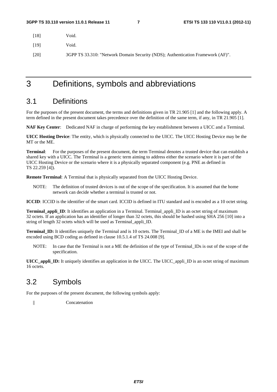[18] Void.

[19] Void.

[20] 3GPP TS 33.310: "Network Domain Security (NDS); Authentication Framework (AF)".

3 Definitions, symbols and abbreviations

### 3.1 Definitions

For the purposes of the present document, the terms and definitions given in TR 21.905 [1] and the following apply. A term defined in the present document takes precedence over the definition of the same term, if any, in TR 21.905 [1].

**NAF Key Center**: Dedicated NAF in charge of performing the key establishment between a UICC and a Terminal.

**UICC Hosting Device**: The entity, which is physically connected to the UICC. The UICC Hosting Device may be the MT or the ME.

**Terminal**: For the purposes of the present document, the term Terminal denotes a trusted device that can establish a shared key with a UICC. The Terminal is a generic term aiming to address either the scenario where it is part of the UICC Hosting Device or the scenario where it is a physically separated component (e.g. PNE as defined in TS 22.259 [4]).

**Remote Terminal**: A Terminal that is physically separated from the UICC Hosting Device.

NOTE: The definition of trusted devices is out of the scope of the specification. It is assumed that the home network can decide whether a terminal is trusted or not.

**ICCID**: ICCID is the identifier of the smart card. ICCID is defined in ITU standard and is encoded as a 10 octet string.

**Terminal\_appli\_ID**: It identifies an application in a Terminal. Terminal\_appli\_ID is an octet string of maximum 32 octets. If an application has an identifier of longer than 32 octets, this should be hashed using SHA 256 [10] into a string of length 32 octets which will be used as Terminal\_appli\_ID.

**Terminal ID:** It identifies uniquely the Terminal and is 10 octets. The Terminal ID of a ME is the IMEI and shall be encoded using BCD coding as defined in clause 10.5.1.4 of TS 24.008 [9].

NOTE: In case that the Terminal is not a ME the definition of the type of Terminal\_IDs is out of the scope of the specification.

**UICC\_appli\_ID:** It uniquely identifies an application in the UICC. The UICC\_appli\_ID is an octet string of maximum 16 octets.

# 3.2 Symbols

For the purposes of the present document, the following symbols apply:

|| Concatenation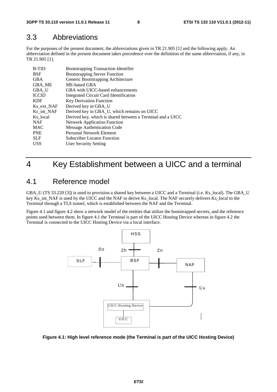### 3.3 Abbreviations

For the purposes of the present document, the abbreviations given in TR 21.905 [1] and the following apply. An abbreviation defined in the present document takes precedence over the definition of the same abbreviation, if any, in TR 21.905 [1].

| <b>B-TID</b> | <b>Bootstrapping Transaction Identifier</b>                |
|--------------|------------------------------------------------------------|
| <b>BSF</b>   | <b>Bootstrapping Server Function</b>                       |
| <b>GBA</b>   | Generic Bootstrapping Architecture                         |
| GBA ME       | ME-based GBA                                               |
| GBA U        | GBA with UICC-based enhancements                           |
| <b>ICCID</b> | Integrated Circuit Card Identification                     |
| <b>KDF</b>   | <b>Key Derivation Function</b>                             |
| Ks ext NAF   | Derived key in GBA_U                                       |
| Ks int NAF   | Derived key in GBA_U, which remains on UICC                |
| Ks local     | Derived key, which is shared between a Terminal and a UICC |
| <b>NAF</b>   | <b>Network Application Function</b>                        |
| <b>MAC</b>   | Message Authentication Code                                |
| <b>PNE</b>   | <b>Personal Network Element</b>                            |
| <b>SLF</b>   | <b>Subscriber Locator Function</b>                         |
| <b>USS</b>   | User Security Setting                                      |
|              |                                                            |

# 4 Key Establishment between a UICC and a terminal

# 4.1 Reference model

GBA\_U (TS 33.220 [3]) is used to provision a shared key between a UICC and a Terminal (i.e. Ks\_local). The GBA\_U key Ks\_int\_NAF is used by the UICC and the NAF to derive Ks\_local. The NAF securely delivers Ks\_local to the Terminal through a TLS tunnel, which is established between the NAF and the Terminal.

Figure 4.1 and figure 4.2 show a network model of the entities that utilize the bootstrapped secrets, and the reference points used between them. In figure 4.1 the Terminal is part of the UICC Hosting Device whereas in figure 4.2 the Terminal is connected to the UICC Hosting Device via a local interface.



#### **Figure 4.1: High level reference mode (the Terminal is part of the UICC Hosting Device)**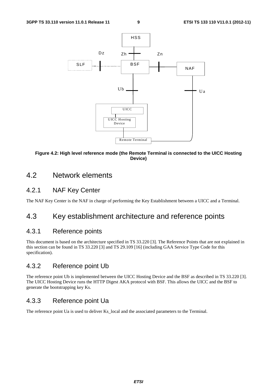

#### **Figure 4.2: High level reference mode (the Remote Terminal is connected to the UICC Hosting Device)**

### 4.2 Network elements

#### 4.2.1 NAF Key Center

The NAF Key Center is the NAF in charge of performing the Key Establishment between a UICC and a Terminal.

# 4.3 Key establishment architecture and reference points

#### 4.3.1 Reference points

This document is based on the architecture specified in TS 33.220 [3]. The Reference Points that are not explained in this section can be found in TS 33.220 [3] and TS 29.109 [16] (including GAA Service Type Code for this specification).

#### 4.3.2 Reference point Ub

The reference point Ub is implemented between the UICC Hosting Device and the BSF as described in TS 33.220 [3]. The UICC Hosting Device runs the HTTP Digest AKA protocol with BSF. This allows the UICC and the BSF to generate the bootstrapping key Ks.

### 4.3.3 Reference point Ua

The reference point Ua is used to deliver Ks\_local and the associated parameters to the Terminal.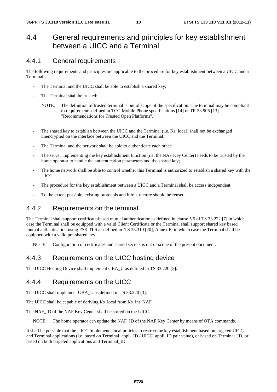### 4.4 General requirements and principles for key establishment between a UICC and a Terminal

#### 4.4.1 General requirements

The following requirements and principles are applicable to the procedure for key establishment between a UICC and a Terminal:

- The Terminal and the UICC shall be able to establish a shared key;
- The Terminal shall be trusted:
	- NOTE: The definition of trusted terminal is out of scope of the specification. The terminal may be compliant to requirements defined in TCG Mobile Phone specifications [14] or TR 33.905 [13] "Recommendations for Trusted Open Platforms".
- The shared key to establish between the UICC and the Terminal (i.e. Ks\_local) shall not be exchanged unencrypted on the interface between the UICC and the Terminal;
- The Terminal and the network shall be able to authenticate each other;
- The server implementing the key establishment function (i.e. the NAF Key Center) needs to be trusted by the home operator to handle the authentication parameters and the shared key;
- The home network shall be able to control whether this Terminal is authorized to establish a shared key with the UICC;
- The procedure for the key establishment between a UICC and a Terminal shall be access independent;
- To the extent possible, existing protocols and infrastructure should be reused;

#### 4.4.2 Requirements on the terminal

The Terminal shall support certificate-based mutual authentication as defined in clause 5.5 of TS 33.222 [7] in which case the Terminal shall be equipped with a valid Client Certificate or the Terminal shall support shared key based mutual authentication using PSK TLS as defined in TS 33.310 [20], Annex E, in which case the Terminal shall be equipped with a valid pre-shared key.

NOTE: Configuration of certificates and shared secrets is out of scope of the present document.

### 4.4.3 Requirements on the UICC hosting device

The UICC Hosting Device shall implement GBA\_U as defined in TS 33.220 [3].

#### 4.4.4 Requirements on the UICC

The UICC shall implement GBA\_U as defined in TS 33.220 [3].

The UICC shall be capable of deriving Ks\_local from Ks\_int\_NAF.

The NAF\_ID of the NAF Key Center shall be stored on the UICC.

NOTE: The home operator can update the NAF\_ID of the NAF Key Center by means of OTA commands.

It shall be possible that the UICC implements local policies to restrict the key establishment based on targeted UICC and Terminal applications (i.e. based on Terminal\_appli\_ID / UICC\_appli\_ID pair value), or based on Terminal\_ID, or based on both targeted applications and Terminal\_ID.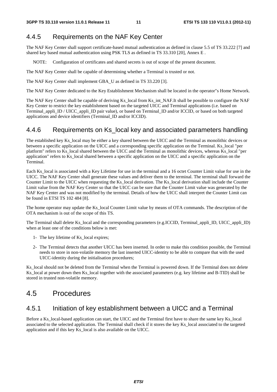### 4.4.5 Requirements on the NAF Key Center

The NAF Key Center shall support certificate-based mutual authentication as defined in clause 5.5 of TS 33.222 [7] and shared key based mutual authentication using PSK TLS as defined in TS 33.310 [20], Annex E .

NOTE: Configuration of certificates and shared secrets is out of scope of the present document.

The NAF Key Center shall be capable of determining whether a Terminal is trusted or not.

The NAF Key Center shall implement GBA\_U as defined in TS 33.220 [3].

The NAF Key Center dedicated to the Key Establishment Mechanism shall be located in the operator"s Home Network.

The NAF Key Center shall be capable of deriving Ks local from Ks int NAF.It shall be possible to configure the NAF Key Center to restrict the key establishment based on the targeted UICC and Terminal applications (i.e. based on Terminal\_appli\_ID / UICC\_appli\_ID pair value), or based on Terminal\_ID and/or ICCID, or based on both targeted applications and device identifiers (Terminal\_ID and/or ICCID).

#### 4.4.6 Requirements on Ks local key and associated parameters handling

The established key Ks\_local may be either a key shared between the UICC and the Terminal as monolithic devices or between a specific application on the UICC and a corresponding specific application on the Terminal. Ks\_local "per platform" refers to Ks\_local shared between the UICC and the Terminal as monolithic devices, whereas Ks\_local "per application" refers to Ks\_local shared between a specific application on the UICC and a specific application on the Terminal.

Each Ks\_local is associated with a Key Lifetime for use in the terminal and a 16 octet Counter Limit value for use in the UICC. The NAF Key Center shall generate these values and deliver them to the terminal. The terminal shall forward the Counter Limit to the UICC when requesting the Ks\_local derivation. The Ks\_local derivation shall include the Counter Limit value from the NAF Key Center so that the UICC can be sure that the Counter Limit value was generated by the NAF Key Center and was not modified by the terminal. Details of how the UICC shall interpret the Counter Limit can be found in ETSI TS 102 484 [8].

The home operator may update the Ks\_local Counter Limit value by means of OTA commands. The description of the OTA mechanism is out of the scope of this TS.

The Terminal shall delete Ks local and the corresponding parameters (e.g.ICCID, Terminal appli ID, UICC appli ID) when at least one of the conditions below is met:

- 1- The key lifetime of Ks\_local expires;
- 2- The Terminal detects that another UICC has been inserted. In order to make this condition possible, the Terminal needs to store in non-volatile memory the last inserted UICC-identity to be able to compare that with the used UICC-identity during the initialisation procedures;

Ks\_local should not be deleted from the Terminal when the Terminal is powered down. If the Terminal does not delete Ks local at power down then Ks local together with the associated parameters (e.g. key lifetime and B-TID) shall be stored in trusted non-volatile memory.

### 4.5 Procedures

#### 4.5.1 Initiation of key establishment between a UICC and a Terminal

Before a Ks\_local-based application can start, the UICC and the Terminal first have to share the same key Ks\_local associated to the selected application. The Terminal shall check if it stores the key Ks\_local associated to the targeted application and if this key Ks\_local is also available on the UICC.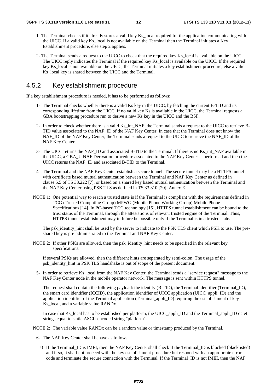- 1- The Terminal checks if it already stores a valid key Ks\_local required for the application communicating with the UICC. If a valid key Ks\_local is not available on the Terminal then the Terminal initiates a Key Establishment procedure, else step 2 applies.
- 2- The Terminal sends a request to the UICC to check that the required key Ks\_local is available on the UICC. The UICC reply indicates the Terminal if the required key Ks\_local is available on the UICC. If the required key Ks\_local is not available on the UICC, the Terminal initiates a key establishment procedure, else a valid Ks local key is shared between the UICC and the Terminal.

#### 4.5.2 Key establishment procedure

If a key establishment procedure is needed, it has to be performed as follows:

- 1- The Terminal checks whether there is a valid Ks key in the UICC, by fetching the current B-TID and its corresponding lifetime from the UICC. If no valid key Ks is available in the UICC, the Terminal requests a GBA bootstrapping procedure run to derive a new Ks key in the UICC and the BSF.
- 2- In order to check whether there is a valid Ks\_int\_NAF, the Terminal sends a request to the UICC to retrieve B-TID value associated to the NAF\_ID of the NAF Key Center. In case that the Terminal does not know the NAF\_ID of the NAF Key Center, the Terminal sends a request to the UICC to retrieve the NAF\_ID of the NAF Key Center.
- 3- The UICC returns the NAF\_ID and associated B-TID to the Terminal. If there is no Ks\_int\_NAF available in the UICC, a GBA\_U NAF Derivation procedure associated to the NAF Key Center is performed and then the UICC returns the NAF\_ID and associated B-TID to the Terminal.
- 4- The Terminal and the NAF Key Center establish a secure tunnel. The secure tunnel may be a HTTPS tunnel with certificate based mutual authentication between the Terminal and NAF Key Center as defined in clause 5.5 of TS 33.222 [7], or based on a shared key based mutual authentication between the Terminal and the NAF Key Center using PSK TLS as defined in TS 33.310 [20], Annex E.
- NOTE 1: One potential way to reach a trusted state is if the Terminal is compliant with the requirements defined in TCG (Trusted Computing Group) MPWG (Mobile Phone Working Group) Mobile Phone Specifications [14]. In PC-based TCG technology [15], HTTPS tunnel establishment can be bound to the trust status of the Terminal, through the attestations of relevant trusted engine of the Terminal. Thus, HTTPS tunnel establishment may in future be possible only if the Terminal is in a trusted state.

The psk\_identity\_hint shall be used by the server to indicate to the PSK TLS client which PSK to use. The preshared key is pre-administrated to the Terminal and NAF Key Center.

NOTE 2: If other PSKs are allowed, then the psk identity hint needs to be specified in the relevant key specifications.

If several PSKs are allowed, then the different hints are separated by semi-colon. The usage of the psk\_identity\_hint in PSK TLS handshake is out of scope of the present document.

5- In order to retrieve Ks\_local from the NAF Key Center, the Terminal sends a "service request" message to the NAF Key Center node in the mobile operator network. The message is sent within HTTPS tunnel.

The request shall contain the following payload: the identity (B-TID), the Terminal identifier (Terminal\_ID), the smart card identifier (ICCID), the application identifier of UICC application (UICC\_appli\_ID) and the application identifier of the Terminal application (Terminal\_appli\_ID) requiring the establishment of key Ks local, and a variable value RANDx.

In case that Ks\_local has to be established per platform, the UICC\_appli\_ID and the Terminal\_appli\_ID octet strings equal to static ASCII-encoded string "platform".

NOTE 2: The variable value RANDx can be a random value or timestamp produced by the Terminal.

- 6- The NAF Key Center shall behave as follows:
	- a) If the Terminal\_ID is IMEI, then the NAF Key Center shall check if the Terminal\_ID is blocked (blacklisted) and if so, it shall not proceed with the key establishment procedure but respond with an appropriate error code and terminate the secure connection with the Terminal. If the Terminal\_ID is not IMEI, then the NAF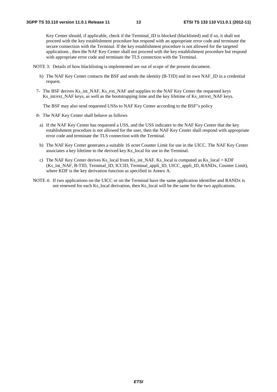Key Center should, if applicable, check if the Terminal\_ID is blocked (blacklisted) and if so, it shall not proceed with the key establishment procedure but respond with an appropriate error code and terminate the secure connection with the Terminal. If the key establishment procedure is not allowed for the targeted applications , then the NAF Key Center shall not proceed with the key establishment procedure but respond with appropriate error code and terminate the TLS connection with the Terminal.

NOTE 3: Details of how blacklisting is implemented are out of scope of the present document.

- b) The NAF Key Center contacts the BSF and sends the identity (B-TID) and its own NAF\_ID in a credential request.
- 7- The BSF derives Ks\_int\_NAF, Ks\_ext\_NAF and supplies to the NAF Key Center the requested keys Ks int/ext NAF keys, as well as the bootstrapping time and the key lifetime of Ks int/ext NAF keys.

The BSF may also send requested USSs to NAF Key Center according to the BSF"s policy

- 8- The NAF Key Center shall behave as follows
	- a) If the NAF Key Center has requested a USS, and the USS indicates to the NAF Key Center that the key establishment procedure is not allowed for the user, then the NAF Key Center shall respond with appropriate error code and terminate the TLS connection with the Terminal.
	- b) The NAF Key Center generates a suitable 16 octet Counter Limit for use in the UICC. The NAF Key Center associates a key lifetime to the derived key Ks\_local for use in the Terminal.
	- c) The NAF Key Center derives Ks\_local from Ks\_int\_NAF. Ks\_local is computed as Ks\_local = KDF (Ks\_int\_NAF, B-TID, Terminal\_ID, ICCID, Terminal\_appli\_ID, UICC\_appli\_ID, RANDx, Counter Limit), where KDF is the key derivation function as specified in Annex A.
- NOTE 4: If two applications on the UICC or on the Terminal have the same application identifier and RANDx is not renewed for each Ks\_local derivation, then Ks\_local will be the same for the two applications.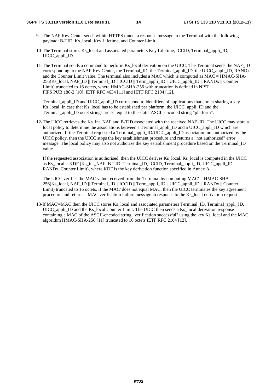#### **3GPP TS 33.110 version 11.0.1 Release 11 14 ETSI TS 133 110 V11.0.1 (2012-11)**

- 9- The NAF Key Center sends within HTTPS tunnel a response message to the Terminal with the following payload: B-TID, Ks\_local, Key Lifetime, and Counter Limit.
- 10- The Terminal stores Ks\_local and associated parameters Key Lifetime, ICCID, Terminal\_appli\_ID, UICC\_appli\_ID
- 11- The Terminal sends a command to perform Ks\_local derivation on the UICC. The Terminal sends the NAF\_ID corresponding to the NAF Key Center, the Terminal ID, the Terminal appli ID, the UICC appli ID, RANDx and the Counter Limit value. The terminal also includes a MAC which is computed as MAC = HMAC-SHA-256(Ks\_local, NAF\_ID || Terminal\_ID || ICCID || Term\_appli\_ID || UICC\_appli\_ID || RANDx || Counter Limit) truncated to 16 octets, where HMAC-SHA-256 with truncation is defined in NIST, FIPS PUB 180-2 [10], IETF RFC 4634 [11] and IETF RFC 2104 [12].

 Terminal\_appli\_ID and UICC\_appli\_ID correspond to identifiers of applications that aim at sharing a key Ks local. In case that Ks local has to be established per platform, the UICC appli ID and the Terminal\_appli\_ID octet strings are set equal to the static ASCII-encoded string "platform".

12- The UICC retrieves the Ks\_int\_NAF and B-TID associated with the received NAF\_ID. The UICC may store a local policy to determine the associations between a Terminal\_appli\_ID and a UICC\_appli\_ID which are authorized. If the Terminal requested a Terminal\_appli\_ID/UICC\_appli\_ID association not authorized by the UICC policy, then the UICC stops the key establishment procedure and returns a "not authorized" error message. The local policy may also not authorize the key establishment procedure based on the Terminal\_ID value.

 If the requested association is authorised, then the UICC derives Ks\_local. Ks\_local is computed in the UICC as Ks\_local = KDF (Ks\_int\_NAF, B-TID, Terminal\_ID, ICCID, Terminal\_appli\_ID, UICC\_appli\_ID, RANDx, Counter Limit), where KDF is the key derivation function specified in Annex A.

The UICC verifies the MAC value received from the Terminal by computing MAC' = HMAC-SHA-256(Ks\_local, NAF\_ID || Terminal\_ID || ICCID || Term\_appli\_ID || UICC\_appli\_ID || RANDx || Counter Limit) truncated to 16 octets. If the MAC' does not equal MAC, then the UICC terminates the key agreement procedure and returns a MAC verification failure message in response to the Ks\_local derivation request.

13-If MAC'=MAC then the UICC stores Ks\_local and associated parameters Terminal\_ID, Terminal\_appli\_ID, UICC\_appli\_ID and the Ks\_local Counter Limit. The UICC then sends a Ks\_local derivation response containing a MAC of the ASCII-encoded string "verification successful" using the key Ks\_local and the MAC algorithm HMAC-SHA-256 [11] truncated to 16 octets IETF RFC 2104 [12].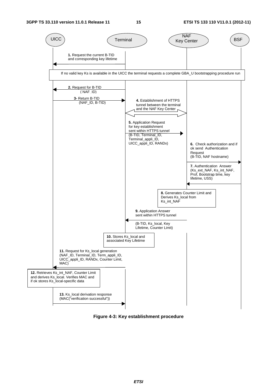

**Figure 4-3: Key establishment procedure**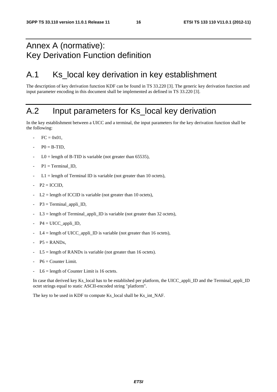# Annex A (normative): Key Derivation Function definition

# A.1 Ks\_local key derivation in key establishment

The description of key derivation function KDF can be found in TS 33.220 [3]. The generic key derivation function and input parameter encoding in this document shall be implemented as defined in TS 33.220 [3].

# A.2 Input parameters for Ks\_local key derivation

In the key establishment between a UICC and a terminal, the input parameters for the key derivation function shall be the following:

- $FC = 0x01$ .
- $P0 = B-TID$ ,
- $LO =$  length of B-TID is variable (not greater than 65535),
- $P1 = TerminalID$ .
- $L1 =$  length of Terminal ID is variable (not greater than 10 octets),
- $P2 = ICCID$ ,
- $L2$  = length of ICCID is variable (not greater than 10 octets),
- $P3 = Terminal\_appli\_ID$ ,
- $L3 =$  length of Terminal\_appli\_ID is variable (not greater than 32 octets),
- $P4 = UICC$  appli ID,
- $L4 =$  length of UICC\_appli\_ID is variable (not greater than 16 octets),
- $P5 =$  RAND<sub>x</sub>,
- $L5 =$  length of RANDx is variable (not greater than 16 octets).
- $P6 =$  Counter Limit.
- $L6$  = length of Counter Limit is 16 octets.

In case that derived key Ks local has to be established per platform, the UICC appli ID and the Terminal appli ID octet strings equal to static ASCII-encoded string "platform".

The key to be used in KDF to compute Ks\_local shall be Ks\_int\_NAF.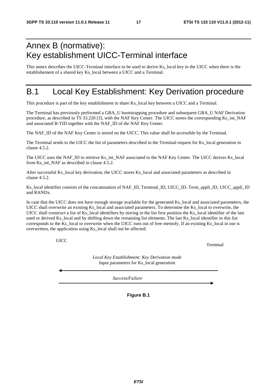# Annex B (normative): Key establishment UICC-Terminal interface

This annex describes the UICC-Terminal interface to be used to derive Ks\_local key in the UICC when there is the establishement of a shared key Ks\_local between a UICC and a Terminal.

# B.1 Local Key Establishment: Key Derivation procedure

This procedure is part of the key establishment to share Ks\_local key between a UICC and a Terminal.

The Terminal has previously performed a GBA\_U bootstrapping procedure and subsequent GBA\_U NAF Derivation procedure, as described in TS 33.220 [3], with the NAF Key Center. The UICC stores the corresponding Ks\_int\_NAF and associated B-TID together with the NAF\_ID of the NAF Key Center.

The NAF\_ID of the NAF Key Center is stored on the UICC. This value shall be accessible by the Terminal.

The Terminal sends to the UICC the list of parameters described in the Terminal request for Ks\_local generation in clause 4.5.2.

The UICC uses the NAF\_ID to retrieve Ks\_int\_NAF associated to the NAF Key Center. The UICC derives Ks\_local from Ks\_int\_NAF as described in clause 4.5.2.

After successful Ks\_local key derivation, the UICC stores Ks\_local and associated parameters as described in clause 4.5.2.

Ks\_local identifier consists of the concatenation of NAF\_ID, Terminal\_ID, UICC\_ID, Term\_appli\_ID, UICC\_appli\_ID and RANDx.

In case that the UICC does not have enough storage available for the generated Ks local and associated parameters, the UICC shall overwrite an existing Ks\_local and associated parameters. To determine the Ks\_local to overwrite, the UICC shall construct a list of Ks local identifiers by storing in the list first position the Ks local identifier of the last used or derived Ks local and by shifting down the remaining list elements. The last Ks local identifier in this list corresponds to the Ks\_local to overwrite when the UICC runs out of free memofy. If an existing Ks\_local in use is overwritten, the application using Ks\_local shall not be affected.

UICC

Terminal

*Local Key Establishment: Key Derivation mode*  Input parameters for Ks\_local generation

*Success/Failure*

**Figure B.1**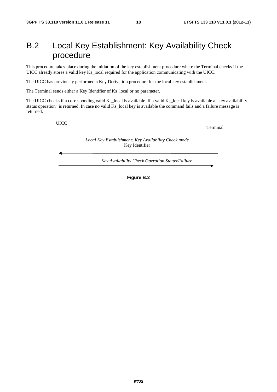# B.2 Local Key Establishment: Key Availability Check procedure

This procedure takes place during the initiation of the key establishment procedure where the Terminal checks if the UICC already stores a valid key Ks\_local required for the application communicating with the UICC.

The UICC has previously performed a Key Derivation procedure for the local key establishment.

The Terminal sends either a Key Identifier of Ks\_local or no parameter.

The UICC checks if a corresponding valid Ks\_local is available. If a valid Ks\_local key is available a "key availability status operation" is returned. In case no valid Ks\_local key is available the command fails and a failure message is returned.

UICC

Terminal

*Local Key Establishment: Key Availability Check mode*  Key Identifier

*Key Availability Check Operation Status/Failure*

**Figure B.2**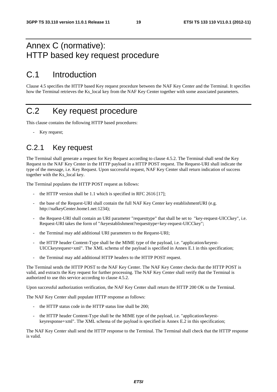# Annex C (normative): HTTP based key request procedure

# C.1 Introduction

Clause 4.5 specifies the HTTP based Key request procedure between the NAF Key Center and the Terminal. It specifies how the Terminal retrieves the Ks\_local key from the NAF Key Center together with some associated parameters.

# C.2 Key request procedure

This clause contains the following HTTP based procedures:

Key request;

### C.2.1 Key request

The Terminal shall generate a request for Key Request according to clause 4.5.2. The Terminal shall send the Key Request to the NAF Key Center in the HTTP payload in a HTTP POST request. The Request-URI shall indicate the type of the message, i.e. Key Request. Upon successful request, NAF Key Center shall return indication of success together with the Ks\_local key.

The Terminal populates the HTTP POST request as follows:

- the HTTP version shall be 1.1 which is specified in RFC 2616 [17];
- the base of the Request-URI shall contain the full NAF Key Center key establishmentURI (e.g. http://nafkeyCenter.home1.net:1234);
- the Request-URI shall contain an URI parameter "requesttype" that shall be set to "key-request-UICCkey", i.e. Request-URI takes the form of "/keyestablishment?requesttype=key-request-UICCkey";
- the Terminal may add additional URI parameters to the Request-URI;
- the HTTP header Content-Type shall be the MIME type of the payload, i.e. "application/keyest-UICCkeyrequest+xml". The XML schema of the payload is specified in Annex E.1 in this specification;
- the Terminal may add additional HTTP headers to the HTTP POST request.

The Terminal sends the HTTP POST to the NAF Key Center. The NAF Key Center checks that the HTTP POST is valid, and extracts the Key request for further processing. The NAF Key Center shall verify that the Terminal is authorized to use this service according to clause 4.5.2.

Upon successful authorization verification, the NAF Key Center shall return the HTTP 200 OK to the Terminal.

The NAF Key Center shall populate HTTP response as follows:

- the HTTP status code in the HTTP status line shall be 200;
- the HTTP header Content-Type shall be the MIME type of the payload, i.e. "application/keyestkeyresponse+xml". The XML schema of the payload is specified in Annex E.2 in this specification;

The NAF Key Center shall send the HTTP response to the Terminal. The Terminal shall check that the HTTP response is valid.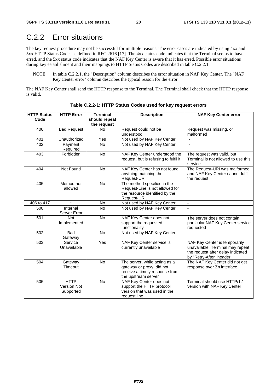# C.2.2 Error situations

The key request procedure may not be successful for multiple reasons. The error cases are indicated by using 4xx and 5xx HTTP Status Codes as defined in RFC 2616 [17]. The 4xx status code indicates that the Terminal seems to have erred, and the 5xx status code indicates that the NAF Key Center is aware that it has erred. Possible error situations during key establishment and their mappings to HTTP Status Codes are described in table C.2.2.1.

NOTE: In table C.2.2.1, the "Description" column describes the error situation in NAF Key Center. The "NAF Key Center error" column describes the typical reason for the error.

The NAF Key Center shall send the HTTP response to the Terminal. The Terminal shall check that the HTTP response is valid.

| <b>HTTP Status</b> | <b>HTTP Error</b>                              | <b>Terminal</b> | <b>Description</b>                                                                                                  | <b>NAF Key Center error</b>                                                                                                       |
|--------------------|------------------------------------------------|-----------------|---------------------------------------------------------------------------------------------------------------------|-----------------------------------------------------------------------------------------------------------------------------------|
| Code               |                                                | should repeat   |                                                                                                                     |                                                                                                                                   |
|                    |                                                | the request     |                                                                                                                     |                                                                                                                                   |
| 400                | <b>Bad Request</b>                             | <b>No</b>       | Request could not be                                                                                                | Request was missing, or                                                                                                           |
|                    |                                                |                 | understood                                                                                                          | malformed                                                                                                                         |
| 401                | Unauthorized                                   | Yes             | Not used by NAF Key Center                                                                                          |                                                                                                                                   |
| 402                | Payment<br>Required                            | <b>No</b>       | Not used by NAF Key Center                                                                                          | $\blacksquare$                                                                                                                    |
| 403                | Forbidden                                      | No              | NAF Key Center understood the<br>request, but is refusing to fulfil it                                              | The request was valid, but<br>Terminal is not allowed to use this<br>service                                                      |
| 404                | Not Found                                      | <b>No</b>       | NAF Key Center has not found<br>anything matching the<br>Request-URI                                                | The Request-URI was malformed<br>and NAF Key Center cannot fulfil<br>the request                                                  |
| 405                | Method not<br>allowed                          | No              | The method specified in the<br>Request-Line is not allowed for<br>the resource identified by the<br>Request-URI.    |                                                                                                                                   |
| 406 to 417         | $\star$                                        | No              | Not used by NAF Key Center                                                                                          | $\mathbf{r}$                                                                                                                      |
| 500                | Internal<br>Server Error                       | <b>No</b>       | Not used by NAF Key Center                                                                                          |                                                                                                                                   |
| 501                | <b>Not</b><br>Implemented                      | No              | NAF Key Center does not<br>support the requested<br>functionality                                                   | The server does not contain<br>particular NAF Key Center service<br>requested                                                     |
| 502                | <b>Bad</b><br>Gateway                          | No              | Not used by NAF Key Center                                                                                          | L.                                                                                                                                |
| 503                | Service<br>Unavailable                         | Yes             | NAF Key Center service is<br>currently unavailable                                                                  | NAF Key Center is temporarily<br>unavailable, Terminal may repeat<br>the request after delay indicated<br>by "Retry-After" header |
| 504                | Gateway<br>Timeout                             | No              | The server, while acting as a<br>gateway or proxy, did not<br>receive a timely response from<br>the upstream server | The NAF Key Center did not get<br>response over Zn interface.                                                                     |
| 505                | <b>HTTP</b><br><b>Version Not</b><br>Supported | No              | NAF Key Center does not<br>support the HTTP protocol<br>version that was used in the<br>request line                | Terminal should use HTTP/1.1<br>version with NAF Key Center                                                                       |

**Table C.2.2-1: HTTP Status Codes used for key request errors**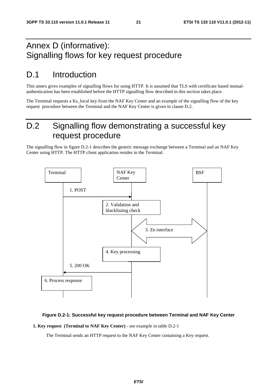# Annex D (informative): Signalling flows for key request procedure

# D.1 Introduction

This annex gives examples of signalling flows for using HTTP. It is assumed that TLS with certificate based mutualauthentication has been established before the HTTP signalling flow described in this section takes place.

The Terminal requests a Ks\_local key from the NAF Key Center and an example of the signalling flow of the key request procedure between the Terminal and the NAF Key Center is given in clause D.2.

# D.2 Signalling flow demonstrating a successful key request procedure

The signalling flow in figure D.2-1 describes the generic message exchange between a Terminal and an NAF Key Center using HTTP. The HTTP client application resides in the Terminal.



#### **Figure D.2-1: Successful key request procedure between Terminal and NAF Key Center**

**1. Key request (Terminal to NAF Key Center)** - see example in table D.2-1

The Terminal sends an HTTP request to the NAF Key Center containing a Key request.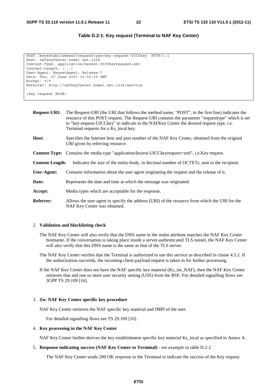#### **Table D.2-1: Key request (Terminal to NAF Key Center)**

```
POST /keyestablishment?requesttype=key-request-UICCkey HTTP/1.1 
Host: nafkeyCenter.home1.net:1234 
Content-Type: application/keyest-UICCkeyrequest+xml 
Content-Length: (...) 
User-Agent: KeyestAgent; Release-7 
Date: Thu, 27 June 2007 10:50:35 GMT 
Accept: */* 
Referrer: http://nafkeyCenter.home1.net:1234/service 
<Key request BLOB>
```
**Request-URI:** The Request-URI (the URI that follows the method name, "POST", in the first line) indicates the resource of this POST request. The Request-URI contains the parameter "requesttype" which is set to "key-request-UICCkey" to indicate to the NAFKey Center the desired request type, i.e. Terminal requests for a Ks\_local key. **Host:** Specifies the Internet host and port number of the NAF Key Center, obtained from the original URI given by referring resource. **Content-Type:** Contains the media type "application/keyest-UICCkeyrequest+xml", i.e.Key request. **Content-Length:** Indicates the size of the entity-body, in decimal number of OCTETs, sent to the recipient. **User-Agent:** Contains information about the user agent originating the request and the release of it. **Date:** Represents the date and time at which the message was originated. **Accept:** Media types which are acceptable for the response.

**Referrer:** Allows the user agent to specify the address (URI) of the resource from which the URI for the NAF Key Center was obtained.

#### 2. **Validation and blacklisting check**

- The NAF Key Center will also verify that the DNS name in the realm attribute matches the NAF Key Center hostname. If the conversation is taking place inside a server-authenticated TLS tunnel, the NAF Key Center will also verify that this DNS name is the same as that of the TLS server.
- The NAF Key Center verifies that the Terminal is authorized to use this service as described in clause 4.5.2. If the authorization succeeds, the incoming client-payload request is taken in for further processing.
- If the NAF Key Center does not have the NAF specific key material (Ks\_int\_NAF), then the NAF Key Center retrieves that and one or more user security setting (USS) from the BSF. For detailed signalling flows see 3GPP TS 29.109 [16].

#### 3. **Zn: NAF Key Center specific key procedure**

NAF Key Center retrieves the NAF specific key material and IMPI of the user.

For detailed signalling flows see TS 29.109 [16].

#### 4. **Key processing in the NAF Key Center**

NAF Key Center further derives the key establishment specific key material Ks\_local as specified in Annex A.

#### 5. **Response indicating success (NAF Key Center to Terminal)** - see example in table D.2-2

The NAF Key Center sends 200 OK response to the Terminal to indicate the success of the Key request.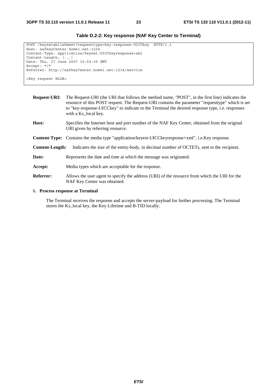| POST /keyestablishment?requesttype=key-response-UICCkey HTTP/1.1 |  |
|------------------------------------------------------------------|--|
| Host: nafkeyCenter.home1.net:1234                                |  |
| Content-Type: application/keyest-UICCkeyresponse+xml             |  |
| $Content-Length: ()$                                             |  |
| Date: Thu, 27 June 2007 10:50:35 GMT                             |  |
| Accept: */*                                                      |  |
| Referrer: http://nafkeyCenter.home1.net:1234/service             |  |
|                                                                  |  |
| <key blob="" request=""></key>                                   |  |

#### **Table D.2-2: Key response (NAF Key Center to Terminal)**

**Request-URI:** The Request-URI (the URI that follows the method name, "POST", in the first line) indicates the resource of this POST request. The Request-URI contains the parameter "requesttype" which is set to "key-response-UICCkey" to indicate to the Terminal the desired response type, i.e. responses with a Ks\_local key. **Host:** Specifies the Internet host and port number of the NAF Key Center, obtained from the original URI given by referring resource. **Content-Type:** Contains the media type "application/keyest-UICCkeyresponse+xml", i.e.Key response. **Content-Length:** Indicates the size of the entity-body, in decimal number of OCTETs, sent to the recipient. **Date:** Represents the date and time at which the message was originated. **Accept:** Media types which are acceptable for the response. **Referrer:** Allows the user agent to specify the address (URI) of the resource from which the URI for the NAF Key Center was obtained.

#### 6. **Process response at Terminal**

 The Terminal receives the response and accepts the server-payload for further processing. The Terminal stores the Ks\_local key, the Key Lifetime and B-TID locally.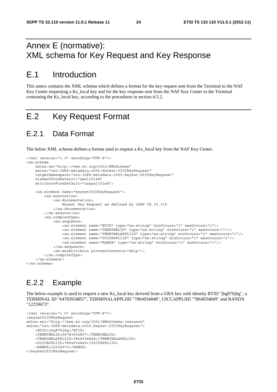# Annex E (normative): XML schema for Key Request and Key Response

# E.1 Introduction

This annex contains the XML schema which defines a format for the key request sent from the Terminal to the NAF Key Center requesting a Ks\_local key and for the key response sent from the NAF Key Center to the Terminal containing the Ks\_local key, according to the procedures in section 4.5.2.

# E.2 Key Request Format

### E.2.1 Data Format

The below XML schema defines a format used to request a Ks\_local key from the NAF Key Center.

```
<?xml version="1.0" encoding="UTF-8"?> 
<xs:schema 
    xmlns:xs="http://www.w3.org/2001/XMLSchema" 
     xmlns="urn:3GPP:metadata:2005:Keyest:UICCKeyRequest" 
     targetNamespace="urn:3GPP:metadata:2005:Keyest:UICCKeyRequest" 
     elementFormDefault="qualified" 
     attributeFormDefault="unqualified"> 
     <xs:element name="keyestUICCKeyRequest"> 
         <xs:annotation> 
             <xs:documentation> 
                  Keyest Key Request as defined by 3GPP TS 33.110 
             </xs:documentation> 
         </xs:annotation> 
         <xs:complexType> 
             <xs:sequence> 
                  <xs:element name="BTID" type="xs:string" minOccurs="1" maxOccurs="1"/> 
                  <xs:element name="TERMINALID" type="xs:string" minOccurs="1" maxOccurs="1"/> 
                  <xs:element name="TERMINALAPPLIID" type="xs:string" minOccurs="1" maxOccurs="1"/> 
                  <xs:element name="UICCAPPLIID" type="xs:string" minOccurs="1" maxOccurs="1"/> 
                  <xs:element name="RANDX" type="xs:string" minOccurs="1" maxOccurs="1"/> 
             </xs:sequence> 
             <xs:anyAttribute processContents="skip"/> 
         </xs:complexType> 
    \epsilon/xs\cdotelement>
</xs:schema>
```
### E.2.2 Example

The below example is used to request a new Ks local key derived from a GBA key with identity BTID "jhg876jhg", a TERMINAL ID "64783934857", TERMINALAPPLIID "7864934848", UICCAPPLIID "7864934849" and RANDX "12259673".

```
<?xml version="1.0" encoding="UTF-8"?> 
<keyestUICCKeyRequest 
xmlns:xsi="http://www.w3.org/2001/XMLSchema-instance" 
xmlns="urn:3GPP:metadata:2005:Keyest:UICCKeyRequest"> 
     <BTID>jhg876jhg</BTID> 
     <TERMINALID>64783934857</TERMINALID> 
     <TERMINALAPPLIID>7864934848</TERMINALAPPLIID> 
     <UICCAPPLIID>7864934849</UICCAPPLIID> 
     <RANDX>12259673</RANDX> 
</keyestUICCKeyRequest>
```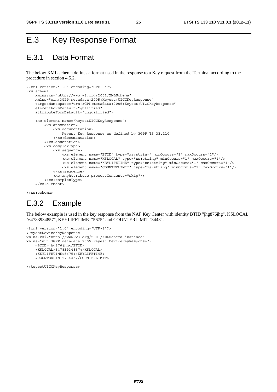# E.3 Key Response Format

# E.3.1 Data Format

The below XML schema defines a format used in the response to a Key request from the Terminal according to the procedure in section 4.5.2.

```
<?xml version="1.0" encoding="UTF-8"?> 
<xs:schema 
     xmlns:xs="http://www.w3.org/2001/XMLSchema" 
     xmlns="urn:3GPP:metadata:2005:Keyest:UICCKeyResponse" 
     targetNamespace="urn:3GPP:metadata:2005:Keyest:UICCKeyResponse" 
     elementFormDefault="qualified" 
     attributeFormDefault="unqualified"> 
     <xs:element name="keyestUICCKeyResponse"> 
         <xs:annotation> 
             <xs:documentation> 
                  Keyest Key Response as defined by 3GPP TS 33.110 
             </xs:documentation> 
         </xs:annotation> 
         <xs:complexType> 
             <xs:sequence> 
                  <xs:element name="BTID" type="xs:string" minOccurs="1" maxOccurs="1"/> 
                  <xs:element name="KSLOCAL" type="xs:string" minOccurs="1" maxOccurs="1"/> 
                  <xs:element name="KEYLIFETIME" type="xs:string" minOccurs="1" maxOccurs="1"/> 
                  <xs:element name="COUNTERLIMIT" type="xs:string" minOccurs="1" maxOccurs="1"/> 
             </xs:sequence> 
             <xs:anyAttribute processContents="skip"/> 
         </xs:complexType> 
     </xs:element>
```
</xs:schema>

### E.3.2 Example

The below example is used in the key response from the NAF Key Center with identity BTID "jhg876jhg", KSLOCAL "64783934857", KEYLIFETIME "5675" and COUNTERLIMIT "3443".

```
<?xml version="1.0" encoding="UTF-8"?> 
<keyestDeviceKeyResponse 
xmlns:xsi="http://www.w3.org/2001/XMLSchema-instance" 
xmlns="urn:3GPP:metadata:2005:Keyest:DeviceKeyResponse"> 
     <BTID>jhg876jhg</BTID> 
     <KSLOCAL>64783934857</KSLOCAL> 
     <KEYLIFETIME>5675</KEYLIFETIME> 
     <COUNTERLIMIT>3443</COUNTERLIMIT>
```
</keyestUICCKeyResponse>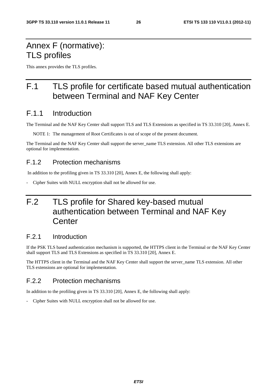# Annex F (normative): TLS profiles

This annex provides the TLS profiles.

# F.1 TLS profile for certificate based mutual authentication between Terminal and NAF Key Center

### F.1.1 Introduction

The Terminal and the NAF Key Center shall support TLS and TLS Extensions as specified in TS 33.310 [20], Annex E.

NOTE 1: The management of Root Certificates is out of scope of the present document.

The Terminal and the NAF Key Center shall support the server\_name TLS extension. All other TLS extensions are optional for implementation.

#### F.1.2 Protection mechanisms

In addition to the profiling given in TS 33.310 [20], Annex E, the following shall apply:

- Cipher Suites with NULL encryption shall not be allowed for use.

# F.2 TLS profile for Shared key-based mutual authentication between Terminal and NAF Key **Center**

#### F.2.1 Introduction

If the PSK TLS based authentication mechanism is supported, the HTTPS client in the Terminal or the NAF Key Center shall support TLS and TLS Extensions as specified in TS 33.310 [20], Annex E.

The HTTPS client in the Terminal and the NAF Key Center shall support the server name TLS extension. All other TLS extensions are optional for implementation.

### F.2.2 Protection mechanisms

In addition to the profiling given in TS 33.310 [20], Annex E, the following shall apply:

- Cipher Suites with NULL encryption shall not be allowed for use.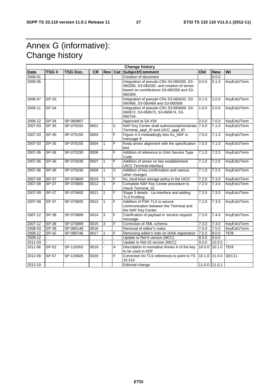# Annex G (informative): Change history

| <b>Change history</b> |         |                 |           |              |     |                                                                                                                                             |        |               |             |
|-----------------------|---------|-----------------|-----------|--------------|-----|---------------------------------------------------------------------------------------------------------------------------------------------|--------|---------------|-------------|
| <b>Date</b>           | TSG#    | <b>TSG Doc.</b> | <b>CR</b> | <b>Rev</b>   | Cat | Subject/Comment                                                                                                                             | Old    | <b>New</b>    | WI          |
| 2006-01               |         |                 |           |              |     | Creation of document                                                                                                                        |        | 0.0.0         |             |
| 2006-05               |         |                 |           |              |     | Integration of pseudo-CRs S3-060265, S3-<br>060280, S3-060282, and creation of annex<br>based on contributions S3-060258 and S3-<br>060309. | 0.0.0  | 0.1.0         | KeyEstUTerm |
| 2006-07               | SP-33   |                 |           |              |     | Integration of pseudo-CRs S3-060432, S3-<br>060468, S3-060469 and S3-060569                                                                 | 0.1.0  | 1.0.0         | KeyEstUTerm |
| 2006-11               | SP-34   |                 |           |              |     | Integration of pseudo-CRs S3-060669, S3-<br>060672, S3-060673, S3-060674, S3-<br>060754.                                                    | 1.0.0  | 2.0.0         | KeyEstUTerm |
| 2006-12               | SP-34   | SP-060807       |           |              |     | Approved at SA #34                                                                                                                          | 2.0.0  | 7.0.0         | KeyEstUTerm |
| 2007-03               | $SP-35$ | SP-070155       | 0001      |              | C   | NAF Key Center shall authorize/administrate<br>Terminal_appl_ID and UICC_appl_ID                                                            | 7.0.0  | 7.1.0         | KeyEstUTerm |
| 2007-03               | $SP-35$ | SP-070155       | 0003      |              | F   | Figure 4-3 misleadingly lists Ks_NAF in<br>message 9                                                                                        | 7.0.0  | 7.1.0         | KeyEstUTerm |
| 2007-03               | $SP-35$ | SP-070155       | 0004      | $\mathbf{1}$ | F   | Keep annex alignment with the specification<br>text                                                                                         | 7.0.0  | 7.1.0         | KeyEstUTerm |
| 2007-06               | $SP-36$ | SP-070330       | 0006      |              | F   | Addition of reference to GAA Service Type<br>Code                                                                                           | 7.1.0  | 7.2.0         | KeyEstUTerm |
| 2007-06               | $SP-36$ | SP-070330       | 0007      | $\mathbf{1}$ | F   | Addition of annex on key establishment<br><b>UICC-Terminal interface</b>                                                                    | 7.1.0  | 7.2.0         | KeyEstUTerm |
| 2007-06               | $SP-36$ | SP-070330       | 0009      | $\mathbf{1}$ | C   | Addition of key confirmation and various<br>other changes                                                                                   | 7.1.0  | 7.2.0         | KeyEstUTerm |
| 2007-09               | SP-37   | SP-070600       | 0010      | 1            | F   | Ks_local keys storage policy in the UICC                                                                                                    | 7.2.0  | 7.3.0         | KeyEstUTerm |
| 2007-09               | $SP-37$ | SP-070600       | 0012      | $\mathbf{1}$ | F   | Complete NAF Key Center procedure to<br>check Terminal ID.                                                                                  | 7.2.0  | 7.3.0         | KeyEstUTerm |
| 2007-09               | $SP-37$ | SP-070600       | 0011      | $\mathbf{1}$ | F   | Stage 3 details : Ua interface and adding<br><b>TLS Profiling</b>                                                                           | 7.2.0  | 7.3.0         | KeyEstUTerm |
| 2007-09               | $SP-37$ | SP-070600       | 0013      | $\mathbf{1}$ | F   | Addition of PSK-TLS to secure<br>communication between the Terminal and<br>the NAF Key Center.                                              | 7.2.0  | 7.3.0         | KeyEstUTerm |
| 2007-12               | SP-38   | SP-070889       | 0014      | 3            | F   | Clarification of payload in 'service request'<br>message                                                                                    | 7.3.0  | 7.4.0         | KeyEstUTerm |
| $2007 - 12$           | $SP-38$ | SP-070889       | 0015      | 3            | F   | Correction of XML schema                                                                                                                    | 7.3.0  | 7.4.0         | KeyEstUTerm |
| 2008-03               | SP-39   | SP-080148       | 0016      |              |     | Removal of editor"s notes                                                                                                                   | 7.4.0  | 7.5.0         | KeyEstUTerm |
| 2008-12               | SP-42   | SP-080746       | 0017      | 1            | F   | Removing editor's note on IANA registration                                                                                                 | 7.5.0  | 8.0.0         | TEI8        |
| 2009-12               |         |                 |           |              |     | Update to Rel-9 version (MCC)                                                                                                               | 8.0.0  | 9.0.0         |             |
| 2011-03               |         |                 |           |              |     | Update to Rel-10 version (MCC)                                                                                                              | 9.0.0  | 10.0.0        | Ш.          |
| 2011-06               | SP-52   | SP-110263       | 0019      |              | A   | Description in normative Annex A of the key<br>to be used in KDF                                                                            | 10.0.0 | 10.1.0        | TEI9        |
| 2012-09               | SP-57   | SP-120605       | 0020      |              | F   | Correction for TLS references to point to TS<br>33.310                                                                                      | 10.1.0 | 11.0.0        | SEC11       |
| 2012-10               |         |                 |           |              |     | <b>Editorial change</b>                                                                                                                     |        | 11.0.0 11.0.1 |             |